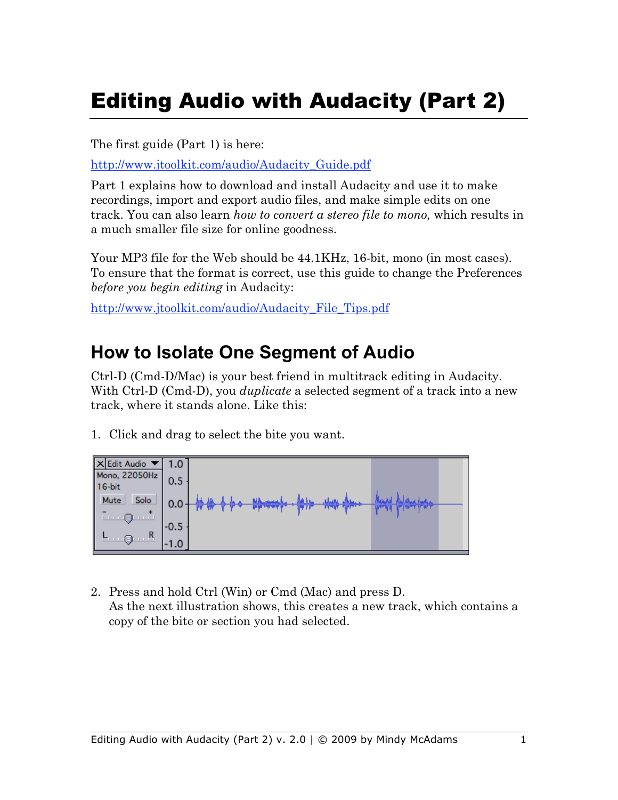# Editing Audio with Audacity (Part 2)

The first guide (Part 1) is here:

http://www.jtoolkit.com/audio/Audacity\_Guide.pdf

Part 1 explains how to download and install Audacity and use it to make recordings, import and export audio files, and make simple edits on one track. You can also learn *how to convert a stereo file to mono,* which results in a much smaller file size for online goodness.

Your MP3 file for the Web should be 44.1KHz, 16-bit, mono (in most cases). To ensure that the format is correct, use this guide to change the Preferences *before you begin editing* in Audacity:

http://www.jtoolkit.com/audio/Audacity\_File\_Tips.pdf

#### **How to Isolate One Segment of Audio**

Ctrl-D (Cmd-D/Mac) is your best friend in multitrack editing in Audacity. With Ctrl-D (Cmd-D), you *duplicate* a selected segment of a track into a new track, where it stands alone. Like this:

1. Click and drag to select the bite you want.



2. Press and hold Ctrl (Win) or Cmd (Mac) and press D. As the next illustration shows, this creates a new track, which contains a copy of the bite or section you had selected.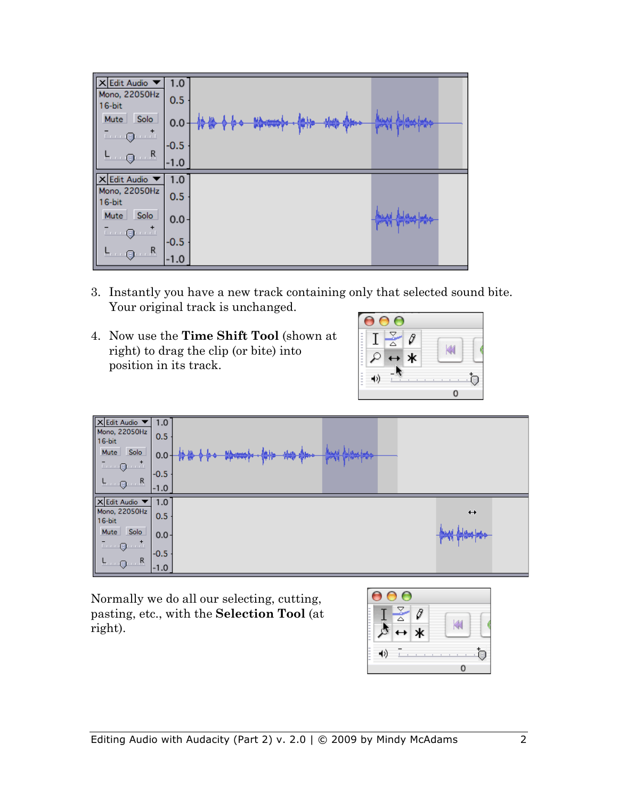| X Edit Audio                                                               | 1.0<br>0.5 |                                                         |  |
|----------------------------------------------------------------------------|------------|---------------------------------------------------------|--|
|                                                                            | 0.0        | حبليا<br><b>MA months</b><br>م <del>بیاران روزبان</del> |  |
| Mono, 22050Hz<br>16-bit<br>Mute Solo<br>16-bit<br>Mute Solo                | $-0.5$     |                                                         |  |
|                                                                            | $-1.0$     |                                                         |  |
| X Edit Audio                                                               | 1.0        |                                                         |  |
| Mono, 22050Hz<br>16-bit<br><u>Mute</u> Solo<br>- Q<br>- R<br>L<br>Q<br>- R | 0.5        |                                                         |  |
|                                                                            | $0.0 -$    |                                                         |  |
|                                                                            | $-0.5$     |                                                         |  |
|                                                                            | $-1.0$     |                                                         |  |

- 3. Instantly you have a new track containing only that selected sound bite. Your original track is unchanged.
- 4. Now use the **Time Shift Tool** (shown at right) to drag the clip (or bite) into position in its track.

| ۰<br><b>STE</b><br>$\sim$<br>- | Ō |  |
|--------------------------------|---|--|
| ۰<br>۰<br>$\sim$               | k |  |
| -                              |   |  |
|                                |   |  |



Normally we do all our selecting, cutting, pasting, etc., with the **Selection Tool** (at right).

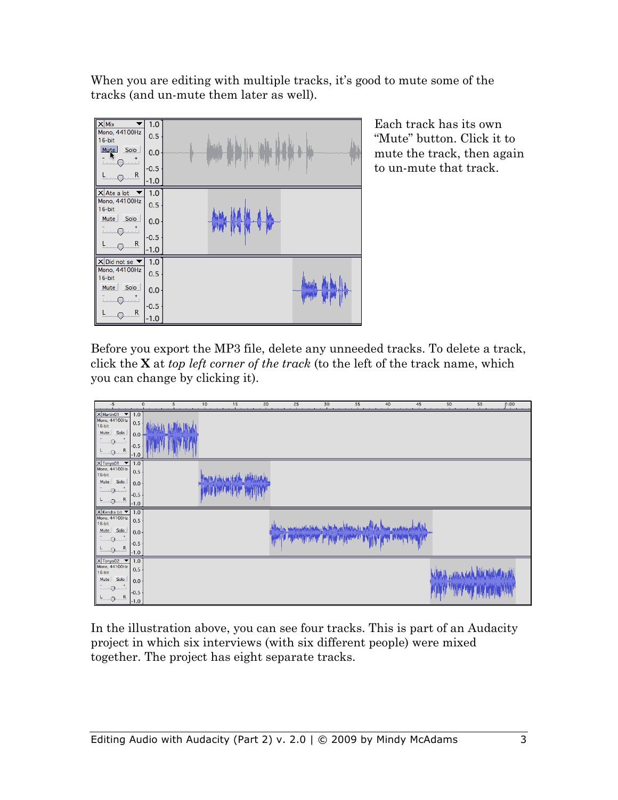When you are editing with multiple tracks, it's good to mute some of the tracks (and un-mute them later as well).



Each track has its own "Mute" button. Click it to mute the track, then again to un-mute that track.

Before you export the MP3 file, delete any unneeded tracks. To delete a track, click the **X** at *top left corner of the track* (to the left of the track name, which you can change by clicking it).

| $-5$                                                                                                                                                                                         | $\mathbf 0$<br>5                          | 10<br>15 | 20 | 25 | 30 | 35                      | 40 | 45 | 50 | 55 | 1:00<br><b>A</b> |
|----------------------------------------------------------------------------------------------------------------------------------------------------------------------------------------------|-------------------------------------------|----------|----|----|----|-------------------------|----|----|----|----|------------------|
| $\times$ Martin01 $\times$ 1.0<br>Mono, 44100Hz<br>$16-bit$<br>Solo<br>Mute<br>R<br>$L_{\text{max}}$                                                                                         | 0.5<br>$0.0 -$<br>$-0.5$<br>$-1.0$        |          |    |    |    |                         |    |    |    |    |                  |
| $x$ Tonya01 $\blacktriangledown$<br>Mono, 44100Hz<br>16-bit<br>Solo<br>Mute<br>1.71<br>$\overline{\phantom{a}}\cdots\overline{\phantom{a}}$<br>R<br>$L_{\cdots Q}$                           | 1.0<br>0.5<br>$0.0 +$<br>$-0.5$<br>$-1.0$ |          |    |    |    |                         |    |    |    |    |                  |
| $\times$ Kendra bit $\blacktriangledown$<br>Mono, 44100Hz<br>16-bit<br>Solo<br>Mute<br>$\overline{\cdots}$ o<br>$\frac{1}{2}$<br>R<br>$-$ 0                                                  | 1.0<br>0.5<br>$0.0 -$<br>$-0.5$<br>$-1.0$ |          |    |    |    | <b>TRANSPORT TO THE</b> |    |    |    |    |                  |
| $X$ Tonya02 $\blacktriangledown$<br>Mono, 44100Hz<br>16-bit<br>Solo<br>Mute<br>$\ldots$ $\stackrel{+}{\ldots}$<br>$\overline{L}$ $\overline{Q}$<br>$\dots R$<br>$F \cdot \cdot \cdot \Theta$ | 1.0<br>0.5<br>$0.0 -$<br>$-0.5$<br>$-1.0$ |          |    |    |    |                         |    |    |    |    |                  |

In the illustration above, you can see four tracks. This is part of an Audacity project in which six interviews (with six different people) were mixed together. The project has eight separate tracks.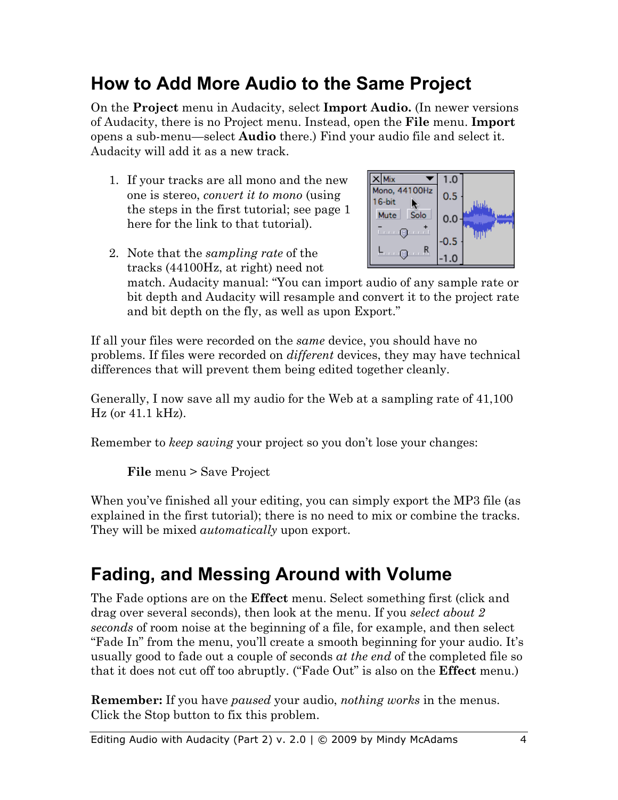### **How to Add More Audio to the Same Project**

On the **Project** menu in Audacity, select **Import Audio.** (In newer versions of Audacity, there is no Project menu. Instead, open the **File** menu. **Import** opens a sub-menu—select **Audio** there.) Find your audio file and select it. Audacity will add it as a new track.

1. If your tracks are all mono and the new one is stereo, *convert it to mono* (using the steps in the first tutorial; see page 1 here for the link to that tutorial).



2. Note that the *sampling rate* of the tracks (44100Hz, at right) need not

match. Audacity manual: "You can import audio of any sample rate or bit depth and Audacity will resample and convert it to the project rate and bit depth on the fly, as well as upon Export."

If all your files were recorded on the *same* device, you should have no problems. If files were recorded on *different* devices, they may have technical differences that will prevent them being edited together cleanly.

Generally, I now save all my audio for the Web at a sampling rate of 41,100 Hz (or 41.1 kHz).

Remember to *keep saving* your project so you don't lose your changes:

**File** menu > Save Project

When you've finished all your editing, you can simply export the MP3 file (as explained in the first tutorial); there is no need to mix or combine the tracks. They will be mixed *automatically* upon export.

#### **Fading, and Messing Around with Volume**

The Fade options are on the **Effect** menu. Select something first (click and drag over several seconds), then look at the menu. If you *select about 2 seconds* of room noise at the beginning of a file, for example, and then select "Fade In" from the menu, you'll create a smooth beginning for your audio. It's usually good to fade out a couple of seconds *at the end* of the completed file so that it does not cut off too abruptly. ("Fade Out" is also on the **Effect** menu.)

**Remember:** If you have *paused* your audio, *nothing works* in the menus. Click the Stop button to fix this problem.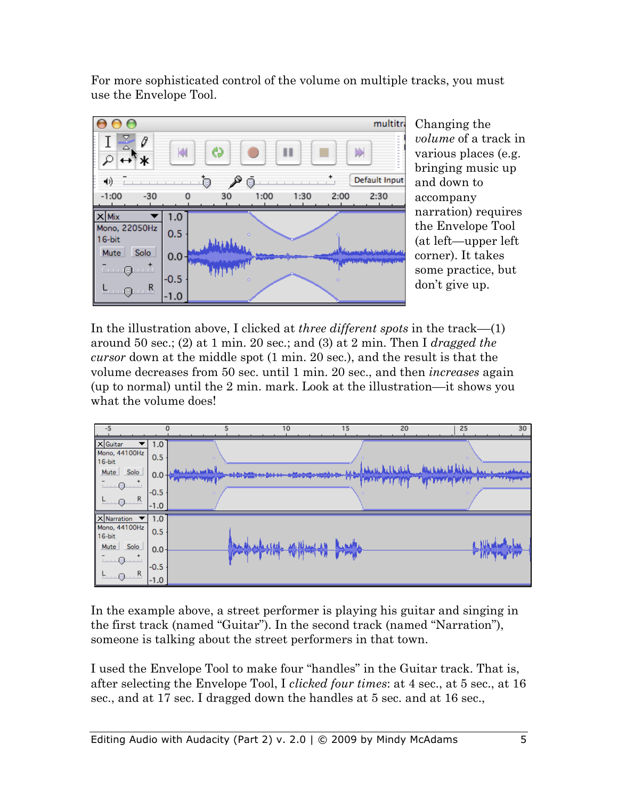For more sophisticated control of the volume on multiple tracks, you must use the Envelope Tool.



Changing the *volume* of a track in various places (e.g. bringing music up and down to accompany narration) requires the Envelope Tool (at left—upper left corner). It takes some practice, but don't give up.

In the illustration above, I clicked at *three different spots* in the track––(1) around 50 sec.; (2) at 1 min. 20 sec.; and (3) at 2 min. Then I *dragged the cursor* down at the middle spot (1 min. 20 sec.), and the result is that the volume decreases from 50 sec. until 1 min. 20 sec., and then *increases* again (up to normal) until the 2 min. mark. Look at the illustration––it shows you what the volume does!



In the example above, a street performer is playing his guitar and singing in the first track (named "Guitar"). In the second track (named "Narration"), someone is talking about the street performers in that town.

I used the Envelope Tool to make four "handles" in the Guitar track. That is, after selecting the Envelope Tool, I *clicked four times*: at 4 sec., at 5 sec., at 16 sec., and at 17 sec. I dragged down the handles at 5 sec. and at 16 sec.,